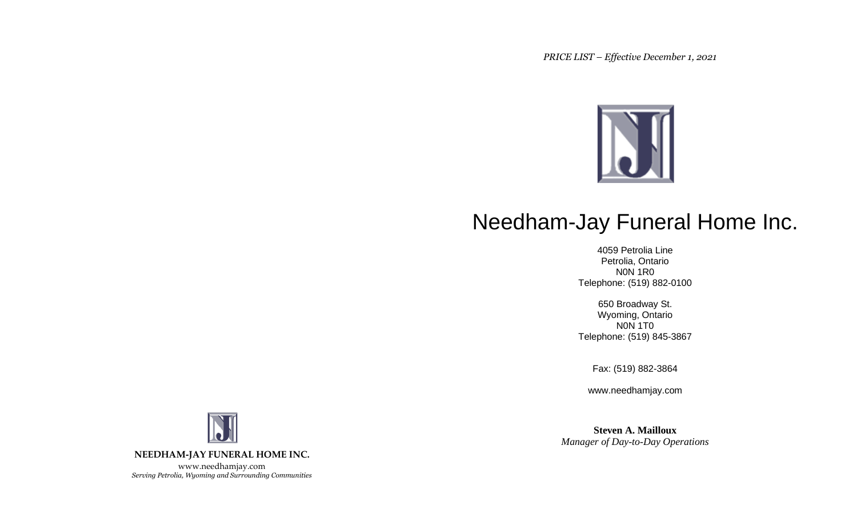*PRICE LIST – Effective December 1, 2021*



# Needham-Jay Funeral Home Inc.

4059 Petrolia Line Petrolia, Ontario N0N 1R0 Telephone: (519) 882-0100

650 Broadway St. Wyoming, Ontario N0N 1T0 Telephone: (519) 845-3867

Fax: (519) 882-3864

www.needhamjay.com

**Steven A. Mailloux** *Manager of Day-to-Day Operations*

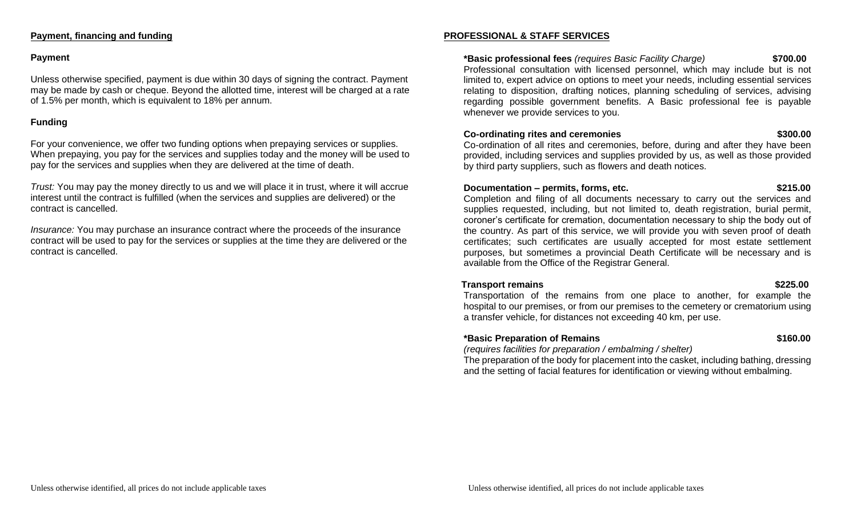#### **Payment, financing and funding**

#### **Payment**

Unless otherwise specified, payment is due within 30 days of signing the contract. Payment may be made by cash or cheque. Beyond the allotted time, interest will be charged at a rate of 1.5% per month, which is equivalent to 18% per annum.

#### **Funding**

For your convenience, we offer two funding options when prepaying services or supplies. When prepaying, you pay for the services and supplies today and the money will be used to pay for the services and supplies when they are delivered at the time of death.

*Trust:* You may pay the money directly to us and we will place it in trust, where it will accrue interest until the contract is fulfilled (when the services and supplies are delivered) or the contract is cancelled.

*Insurance:* You may purchase an insurance contract where the proceeds of the insurance contract will be used to pay for the services or supplies at the time they are delivered or the contract is cancelled.

#### **PROFESSIONAL & STAFF SERVICES**

#### **\*Basic professional fees** *(requires Basic Facility Charge)* **\$700.00**

Professional consultation with licensed personnel, which may include but is not limited to, expert advice on options to meet your needs, including essential services relating to disposition, drafting notices, planning scheduling of services, advising regarding possible government benefits. A Basic professional fee is payable whenever we provide services to you.

#### **Co-ordinating rites and ceremonies \$300.00**

Co-ordination of all rites and ceremonies, before, during and after they have been provided, including services and supplies provided by us, as well as those provided by third party suppliers, such as flowers and death notices.

#### **Documentation – permits, forms, etc. \$215.00**

Completion and filing of all documents necessary to carry out the services and supplies requested, including, but not limited to, death registration, burial permit, coroner's certificate for cremation, documentation necessary to ship the body out of the country. As part of this service, we will provide you with seven proof of death certificates; such certificates are usually accepted for most estate settlement purposes, but sometimes a provincial Death Certificate will be necessary and is available from the Office of the Registrar General.

### **Transport remains the set of the set of the set of the set of the set of the set of the set of the set of the set of the set of the set of the set of the set of the set of the set of the set of the set of the set of the s**

Transportation of the remains from one place to another, for example the hospital to our premises, or from our premises to the cemetery or crematorium using a transfer vehicle, for distances not exceeding 40 km, per use.

### **\*Basic Preparation of Remains \$160.00**

*(requires facilities for preparation / embalming / shelter)*

The preparation of the body for placement into the casket, including bathing, dressing and the setting of facial features for identification or viewing without embalming.

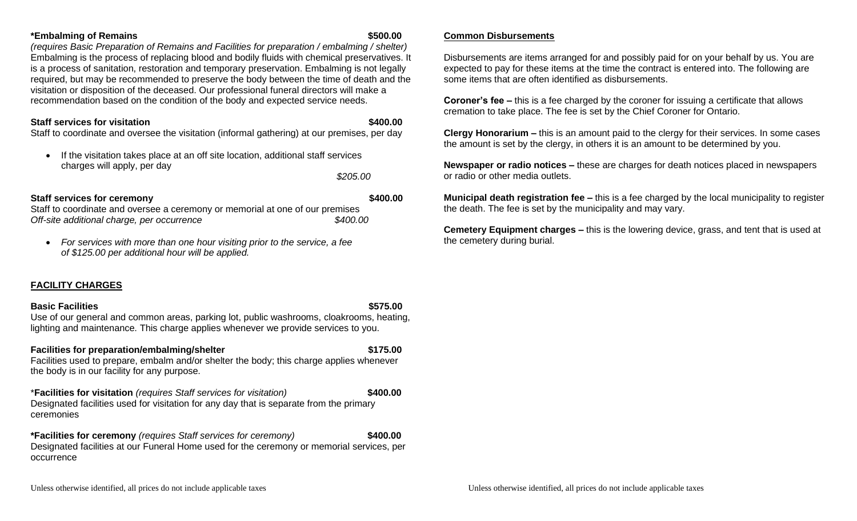#### **\*Embalming of Remains \$500.00**

*(requires Basic Preparation of Remains and Facilities for preparation / embalming / shelter)* Embalming is the process of replacing blood and bodily fluids with chemical preservatives. It is a process of sanitation, restoration and temporary preservation. Embalming is not legally required, but may be recommended to preserve the body between the time of death and the visitation or disposition of the deceased. Our professional funeral directors will make a recommendation based on the condition of the body and expected service needs.

#### **Staff services for visitation**  $\bullet$  **5400.00**

Staff to coordinate and oversee the visitation (informal gathering) at our premises, per day

• If the visitation takes place at an off site location, additional staff services charges will apply, per day

*\$205.00*

#### **Staff services for ceremony 6400.00 \$400.00**

Staff to coordinate and oversee a ceremony or memorial at one of our premises *Off-site additional charge, per occurrence \$400.00*

• *For services with more than one hour visiting prior to the service, a fee of \$125.00 per additional hour will be applied.*

# **FACILITY CHARGES**

#### **Basic Facilities \$575.00**

Use of our general and common areas, parking lot, public washrooms, cloakrooms, heating, lighting and maintenance. This charge applies whenever we provide services to you.

#### **Facilities for preparation/embalming/shelter \$175.00**

Facilities used to prepare, embalm and/or shelter the body; this charge applies whenever the body is in our facility for any purpose.

\***Facilities for visitation** *(requires Staff services for visitation)* **\$400.00** Designated facilities used for visitation for any day that is separate from the primary ceremonies

**\*Facilities for ceremony** *(requires Staff services for ceremony)* **\$400.00** Designated facilities at our Funeral Home used for the ceremony or memorial services, per occurrence

#### **Common Disbursements**

Disbursements are items arranged for and possibly paid for on your behalf by us. You are expected to pay for these items at the time the contract is entered into. The following are some items that are often identified as disbursements.

**Coroner's fee –** this is a fee charged by the coroner for issuing a certificate that allows cremation to take place. The fee is set by the Chief Coroner for Ontario.

**Clergy Honorarium –** this is an amount paid to the clergy for their services. In some cases the amount is set by the clergy, in others it is an amount to be determined by you.

**Newspaper or radio notices –** these are charges for death notices placed in newspapers or radio or other media outlets.

**Municipal death registration fee –** this is a fee charged by the local municipality to register the death. The fee is set by the municipality and may vary.

**Cemetery Equipment charges –** this is the lowering device, grass, and tent that is used at the cemetery during burial.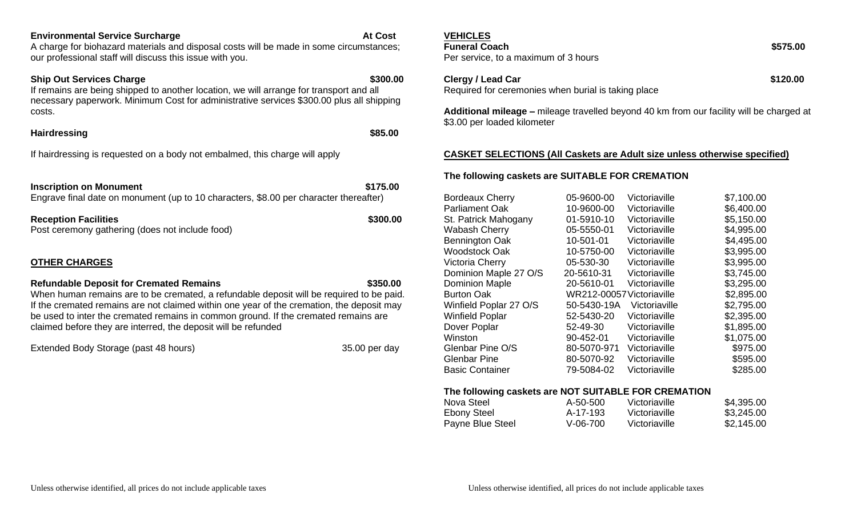#### **Environmental Service Surcharge At Cost**

A charge for biohazard materials and disposal costs will be made in some circumstances; our professional staff will discuss this issue with you.

#### **Ship Out Services Charge 8300.00 \$300.00 \$300.00**

If remains are being shipped to another location, we will arrange for transport and all necessary paperwork. Minimum Cost for administrative services \$300.00 plus all shipping costs.

#### **Hairdressing \$85.00**

If hairdressing is requested on a body not embalmed, this charge will apply

**Inscription on Monument \$175.00 \$175.00** Engrave final date on monument (up to 10 characters, \$8.00 per character thereafter)

**Reception Facilities \$300.00** Post ceremony gathering (does not include food)

# **OTHER CHARGES**

#### **Refundable Deposit for Cremated Remains \$350.00**

When human remains are to be cremated, a refundable deposit will be required to be paid. If the cremated remains are not claimed within one year of the cremation, the deposit may be used to inter the cremated remains in common ground. If the cremated remains are claimed before they are interred, the deposit will be refunded

Extended Body Storage (past 48 hours) 35.00 per day

# **VEHICLES**

Per service, to a maximum of 3 hours

**Clergy / Lead Car \$120.00** Required for ceremonies when burial is taking place

**Additional mileage –** mileage travelled beyond 40 km from our facility will be charged at \$3.00 per loaded kilometer

#### **CASKET SELECTIONS (All Caskets are Adult size unless otherwise specified)**

### **The following caskets are SUITABLE FOR CREMATION**

| <b>Bordeaux Cherry</b> | 05-9600-00                | Victoriaville | \$7,100.00 |
|------------------------|---------------------------|---------------|------------|
| Parliament Oak         | 10-9600-00                | Victoriaville | \$6,400.00 |
| St. Patrick Mahogany   | 01-5910-10                | Victoriaville | \$5,150.00 |
| Wabash Cherry          | 05-5550-01                | Victoriaville | \$4,995.00 |
| Bennington Oak         | 10-501-01                 | Victoriaville | \$4,495.00 |
| Woodstock Oak          | 10-5750-00                | Victoriaville | \$3,995.00 |
| Victoria Cherry        | 05-530-30                 | Victoriaville | \$3,995.00 |
| Dominion Maple 27 O/S  | 20-5610-31                | Victoriaville | \$3,745.00 |
| <b>Dominion Maple</b>  | 20-5610-01                | Victoriaville | \$3,295.00 |
| <b>Burton Oak</b>      | WR212-00057 Victoriaville |               | \$2,895.00 |
| Winfield Poplar 27 O/S | 50-5430-19A               | Victoriaville | \$2,795.00 |
| Winfield Poplar        | 52-5430-20                | Victoriaville | \$2,395.00 |
| Dover Poplar           | 52-49-30                  | Victoriaville | \$1,895.00 |
| Winston                | 90-452-01                 | Victoriaville | \$1,075.00 |
| Glenbar Pine O/S       | 80-5070-971               | Victoriaville | \$975.00   |
| Glenbar Pine           | 80-5070-92                | Victoriaville | \$595.00   |
| <b>Basic Container</b> | 79-5084-02                | Victoriaville | \$285.00   |
|                        |                           |               |            |

#### **The following caskets are NOT SUITABLE FOR CREMATION**

| Nova Steel       | A-50-500 | Victoriaville | \$4,395.00 |
|------------------|----------|---------------|------------|
| Ebony Steel      | A-17-193 | Victoriaville | \$3,245.00 |
| Payne Blue Steel | V-06-700 | Victoriaville | \$2,145.00 |

**Funeral Coach \$575.00**